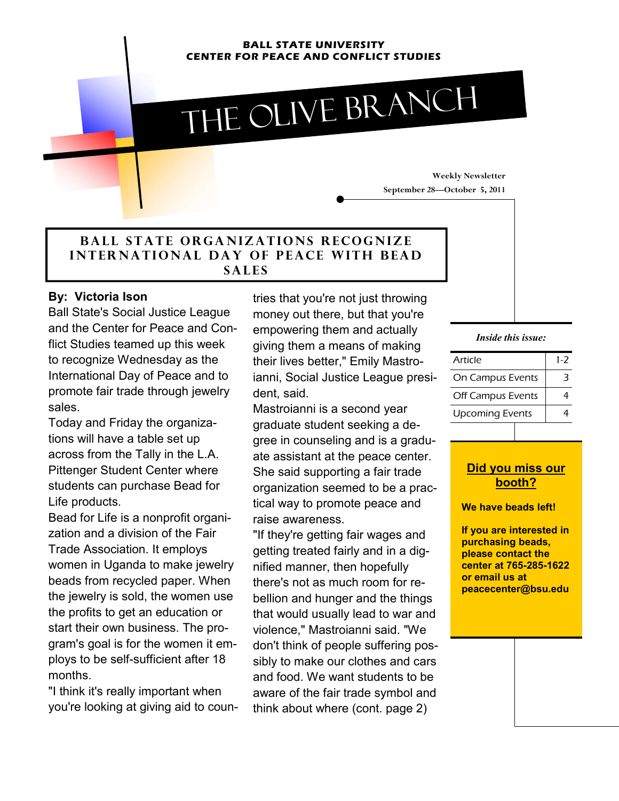#### **BALL STATE UNIVERSITY CENTER FOR PEACE AND CONFLICT STUDIES**

# The olive branch

### **BALL STATE ORGANIZATIONS RECOGNIZE INTERNATIONAL DAY OF PEACE WITH BEAD s a l e s**

#### **By: Victoria Ison**

Ball State's Social Justice League and the Center for Peace and Conflict Studies teamed up this week to recognize Wednesday as the International Day of Peace and to promote fair trade through jewelry sales.

Today and Friday the organizations will have a table set up across from the Tally in the L.A. Pittenger Student Center where students can purchase Bead for Life products.

Bead for Life is a nonprofit organization and a division of the Fair Trade Association. It employs women in Uganda to make jewelry beads from recycled paper. When the jewelry is sold, the women use the profits to get an education or start their own business. The program's goal is for the women it employs to be self-sufficient after 18 months.

"I think it's really important when you're looking at giving aid to countries that you're not just throwing money out there, but that you're empowering them and actually giving them a means of making their lives better," Emily Mastroianni, Social Justice League president, said.

Mastroianni is a second year graduate student seeking a degree in counseling and is a graduate assistant at the peace center. She said supporting a fair trade organization seemed to be a practical way to promote peace and raise awareness.

"If they're getting fair wages and getting treated fairly and in a dignified manner, then hopefully there's not as much room for rebellion and hunger and the things that would usually lead to war and violence," Mastroianni said. "We don't think of people suffering possibly to make our clothes and cars and food. We want students to be aware of the fair trade symbol and think about where (cont. page 2)

**Weekly Newsletter** 

**September 28—October 5, 2011** 

#### *Inside this issue:*

| Article                | $1 - 7$ |
|------------------------|---------|
| On Campus Events       | 3       |
| Off Campus Events      |         |
| <b>Upcoming Events</b> |         |

#### **Did you miss our booth?**

**We have beads left!** 

**If you are interested in purchasing beads, please contact the center at 765-285-1622 or email us at peacecenter@bsu.edu**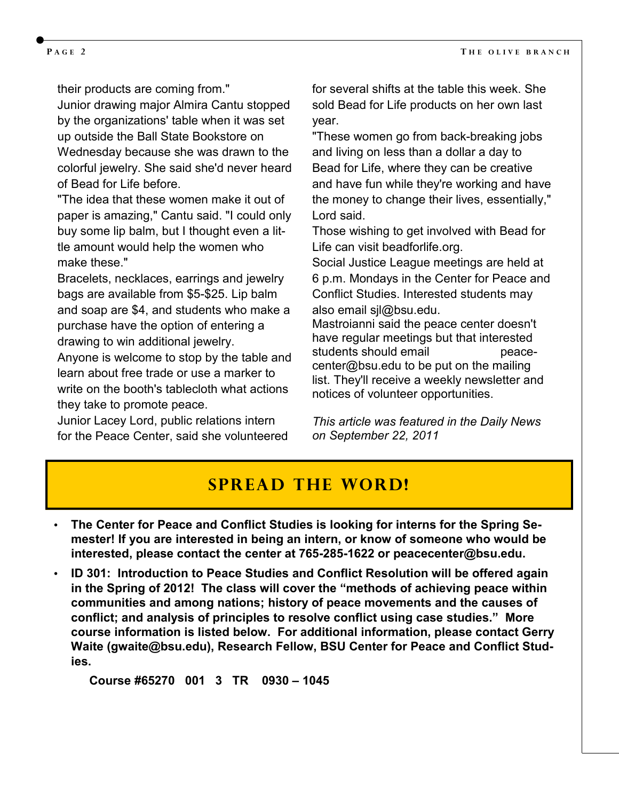their products are coming from."

Junior drawing major Almira Cantu stopped by the organizations' table when it was set up outside the Ball State Bookstore on Wednesday because she was drawn to the colorful jewelry. She said she'd never heard of Bead for Life before.

"The idea that these women make it out of paper is amazing," Cantu said. "I could only buy some lip balm, but I thought even a little amount would help the women who make these."

Bracelets, necklaces, earrings and jewelry bags are available from \$5-\$25. Lip balm and soap are \$4, and students who make a purchase have the option of entering a drawing to win additional jewelry.

Anyone is welcome to stop by the table and learn about free trade or use a marker to write on the booth's tablecloth what actions they take to promote peace.

Junior Lacey Lord, public relations intern for the Peace Center, said she volunteered for several shifts at the table this week. She sold Bead for Life products on her own last year.

"These women go from back-breaking jobs and living on less than a dollar a day to Bead for Life, where they can be creative and have fun while they're working and have the money to change their lives, essentially," Lord said.

Those wishing to get involved with Bead for Life can visit beadforlife.org.

Social Justice League meetings are held at 6 p.m. Mondays in the Center for Peace and Conflict Studies. Interested students may also email sjl@bsu.edu.

Mastroianni said the peace center doesn't have regular meetings but that interested students should email example accecenter@bsu.edu to be put on the mailing list. They'll receive a weekly newsletter and notices of volunteer opportunities.

*This article was featured in the Daily News on September 22, 2011*

## **Spread the word!**

- **The Center for Peace and Conflict Studies is looking for interns for the Spring Semester! If you are interested in being an intern, or know of someone who would be interested, please contact the center at 765-285-1622 or peacecenter@bsu.edu.**
- **ID 301: Introduction to Peace Studies and Conflict Resolution will be offered again in the Spring of 2012! The class will cover the "methods of achieving peace within communities and among nations; history of peace movements and the causes of conflict; and analysis of principles to resolve conflict using case studies." More course information is listed below. For additional information, please contact Gerry Waite (gwaite@bsu.edu), Research Fellow, BSU Center for Peace and Conflict Studies.**

 **Course #65270 001 3 TR 0930 – 1045**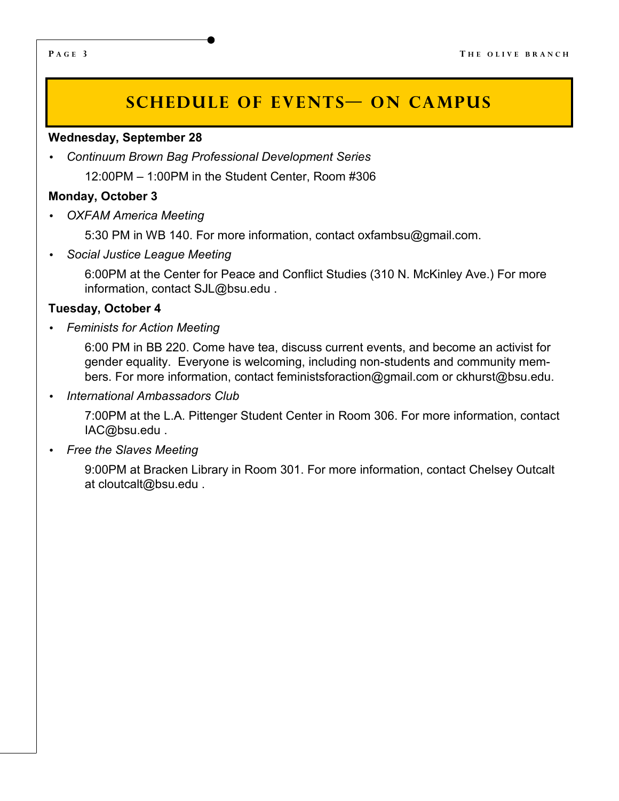# **SCHEDULE OF EVENTS ON CAMPUS**

#### **Wednesday, September 28**

• *Continuum Brown Bag Professional Development Series*

12:00PM – 1:00PM in the Student Center, Room #306

#### **Monday, October 3**

• *OXFAM America Meeting*

5:30 PM in WB 140. For more information, contact oxfambsu@gmail.com.

• *Social Justice League Meeting*

6:00PM at the Center for Peace and Conflict Studies (310 N. McKinley Ave.) For more information, contact SJL@bsu.edu .

#### **Tuesday, October 4**

• *Feminists for Action Meeting* 

6:00 PM in BB 220. Come have tea, discuss current events, and become an activist for gender equality. Everyone is welcoming, including non-students and community members. For more information, contact feministsforaction@gmail.com or ckhurst@bsu.edu.

• *International Ambassadors Club* 

7:00PM at the L.A. Pittenger Student Center in Room 306. For more information, contact IAC@bsu.edu .

• *Free the Slaves Meeting* 

9:00PM at Bracken Library in Room 301. For more information, contact Chelsey Outcalt at cloutcalt@bsu.edu .